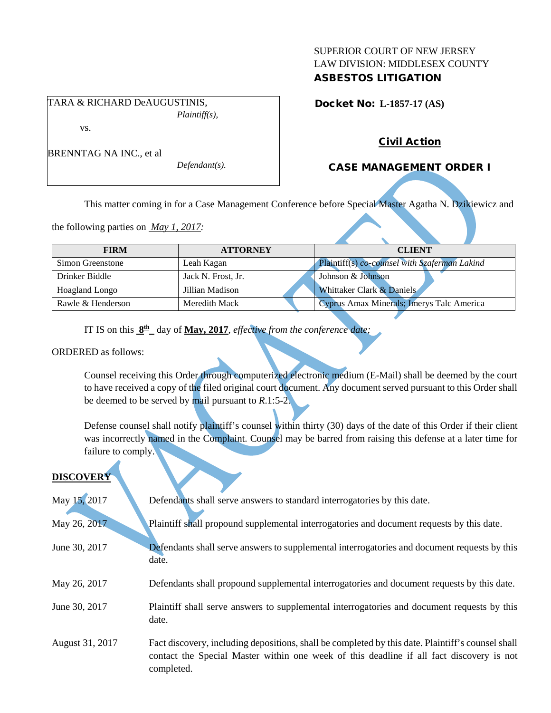### SUPERIOR COURT OF NEW JERSEY LAW DIVISION: MIDDLESEX COUNTY ASBESTOS LITIGATION

TARA & RICHARD DeAUGUSTINIS, *Plaintiff(s),* vs.

BRENNTAG NA INC., et al

Docket No: **L-1857-17 (AS)** 

## Civil Action

## CASE MANAGEMENT ORDER I

This matter coming in for a Case Management Conference before Special Master Agatha N. Dzikiewicz and

the following parties on *May 1, 2017:*

| <b>FIRM</b>           | <b>ATTORNEY</b>    | <b>CLIENT</b>                                 |
|-----------------------|--------------------|-----------------------------------------------|
| Simon Greenstone      | Leah Kagan         | Plaintiff(s) co-counsel with Szaferman Lakind |
| Drinker Biddle        | Jack N. Frost, Jr. | Johnson & Johnson                             |
| <b>Hoagland Longo</b> | Jillian Madison    | Whittaker Clark & Daniels                     |
| Rawle & Henderson     | Meredith Mack      | Cyprus Amax Minerals; Imerys Talc America     |

IT IS on this **8th** day of **May, 2017**, *effective from the conference date;*

*Defendant(s).*

ORDERED as follows:

Counsel receiving this Order through computerized electronic medium (E-Mail) shall be deemed by the court to have received a copy of the filed original court document. Any document served pursuant to this Order shall be deemed to be served by mail pursuant to *R*.1:5-2.

Defense counsel shall notify plaintiff's counsel within thirty (30) days of the date of this Order if their client was incorrectly named in the Complaint. Counsel may be barred from raising this defense at a later time for failure to comply.

# **DISCOVER**

| May 15, 2017    | Defendants shall serve answers to standard interrogatories by this date.                                                                                                                                    |
|-----------------|-------------------------------------------------------------------------------------------------------------------------------------------------------------------------------------------------------------|
| May 26, 2017    | Plaintiff shall propound supplemental interrogatories and document requests by this date.                                                                                                                   |
| June 30, 2017   | Defendants shall serve answers to supplemental interrogatories and document requests by this<br>date.                                                                                                       |
| May 26, 2017    | Defendants shall propound supplemental interrogatories and document requests by this date.                                                                                                                  |
| June 30, 2017   | Plaintiff shall serve answers to supplemental interrogatories and document requests by this<br>date.                                                                                                        |
| August 31, 2017 | Fact discovery, including depositions, shall be completed by this date. Plaintiff's counsel shall<br>contact the Special Master within one week of this deadline if all fact discovery is not<br>completed. |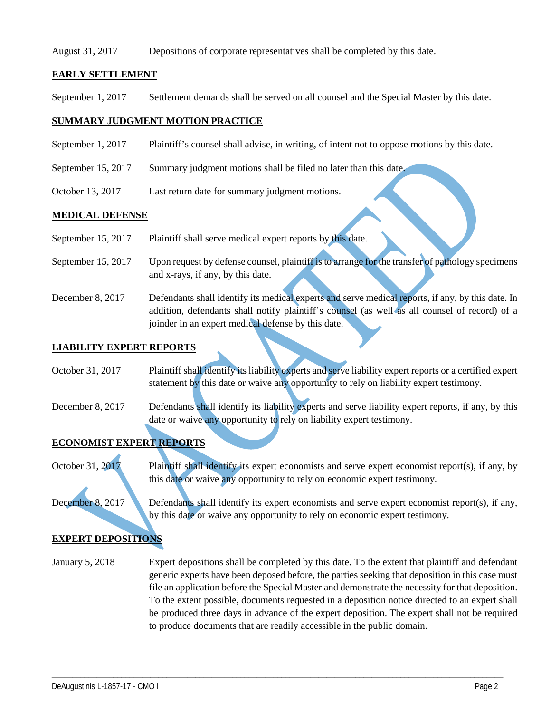#### August 31, 2017 Depositions of corporate representatives shall be completed by this date.

### **EARLY SETTLEMENT**

September 1, 2017 Settlement demands shall be served on all counsel and the Special Master by this date.

#### **SUMMARY JUDGMENT MOTION PRACTICE**

- September 1, 2017 Plaintiff's counsel shall advise, in writing, of intent not to oppose motions by this date.
- September 15, 2017 Summary judgment motions shall be filed no later than this date.
- October 13, 2017 Last return date for summary judgment motions.

#### **MEDICAL DEFENSE**

- September 15, 2017 Plaintiff shall serve medical expert reports by this date.
- September 15, 2017 Upon request by defense counsel, plaintiff is to arrange for the transfer of pathology specimens and x-rays, if any, by this date.
- December 8, 2017 Defendants shall identify its medical experts and serve medical reports, if any, by this date. In addition, defendants shall notify plaintiff's counsel (as well as all counsel of record) of a joinder in an expert medical defense by this date.

#### **LIABILITY EXPERT REPORTS**

October 31, 2017 Plaintiff shall identify its liability experts and serve liability expert reports or a certified expert statement by this date or waive any opportunity to rely on liability expert testimony.

December 8, 2017 Defendants shall identify its liability experts and serve liability expert reports, if any, by this date or waive any opportunity to rely on liability expert testimony.

# **ECONOMIST EXPERT REPORTS**

October 31, 2017 Plaintiff shall identify its expert economists and serve expert economist report(s), if any, by this date or waive any opportunity to rely on economic expert testimony.

December 8, 2017 Defendants shall identify its expert economists and serve expert economist report(s), if any, by this date or waive any opportunity to rely on economic expert testimony.

### **EXPERT DEPOSITIONS**

January 5, 2018 Expert depositions shall be completed by this date. To the extent that plaintiff and defendant generic experts have been deposed before, the parties seeking that deposition in this case must file an application before the Special Master and demonstrate the necessity for that deposition. To the extent possible, documents requested in a deposition notice directed to an expert shall be produced three days in advance of the expert deposition. The expert shall not be required to produce documents that are readily accessible in the public domain.

\_\_\_\_\_\_\_\_\_\_\_\_\_\_\_\_\_\_\_\_\_\_\_\_\_\_\_\_\_\_\_\_\_\_\_\_\_\_\_\_\_\_\_\_\_\_\_\_\_\_\_\_\_\_\_\_\_\_\_\_\_\_\_\_\_\_\_\_\_\_\_\_\_\_\_\_\_\_\_\_\_\_\_\_\_\_\_\_\_\_\_\_\_\_\_\_\_\_\_\_\_\_\_\_\_\_\_\_\_\_